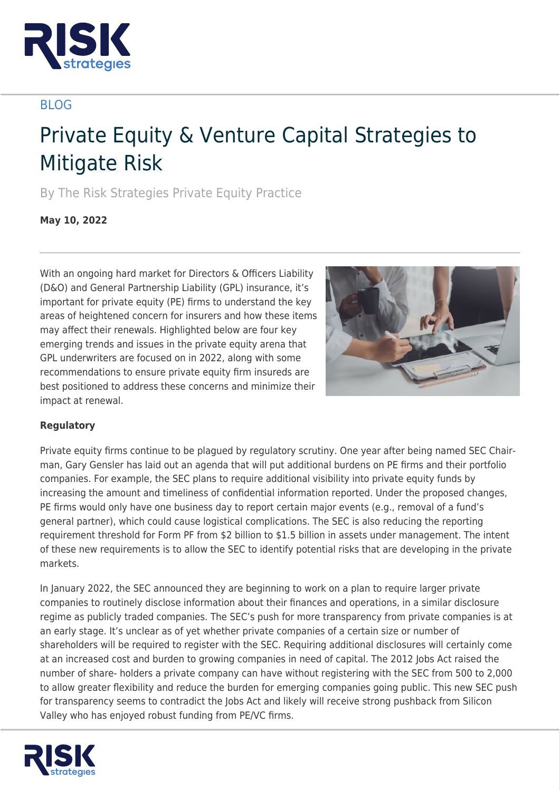

# BLOG

# Private Equity & Venture Capital Strategies to Mitigate Risk

By The Risk Strategies Private Equity Practice

**May 10, 2022**

With an ongoing hard market for Directors & Officers Liability (D&O) and General Partnership Liability (GPL) insurance, it's important for private equity (PE) firms to understand the key areas of heightened concern for insurers and how these items may affect their renewals. Highlighted below are four key emerging trends and issues in the private equity arena that GPL underwriters are focused on in 2022, along with some recommendations to ensure private equity firm insureds are best positioned to address these concerns and minimize their impact at renewal.



## **Regulatory**

Private equity firms continue to be plagued by regulatory scrutiny. One year after being named SEC Chairman, Gary Gensler has laid out an agenda that will put additional burdens on PE firms and their portfolio companies. For example, the SEC plans to require additional visibility into private equity funds by increasing the amount and timeliness of confidential information reported. Under the proposed changes, PE firms would only have one business day to report certain major events (e.g., removal of a fund's general partner), which could cause logistical complications. The SEC is also reducing the reporting requirement threshold for Form PF from \$2 billion to \$1.5 billion in assets under management. The intent of these new requirements is to allow the SEC to identify potential risks that are developing in the private markets.

In January 2022, the SEC announced they are beginning to work on a plan to require larger private companies to routinely disclose information about their finances and operations, in a similar disclosure regime as publicly traded companies. The SEC's push for more transparency from private companies is at an early stage. It's unclear as of yet whether private companies of a certain size or number of shareholders will be required to register with the SEC. Requiring additional disclosures will certainly come at an increased cost and burden to growing companies in need of capital. The 2012 Jobs Act raised the number of share- holders a private company can have without registering with the SEC from 500 to 2,000 to allow greater flexibility and reduce the burden for emerging companies going public. This new SEC push for transparency seems to contradict the Jobs Act and likely will receive strong pushback from Silicon Valley who has enjoyed robust funding from PE/VC firms.

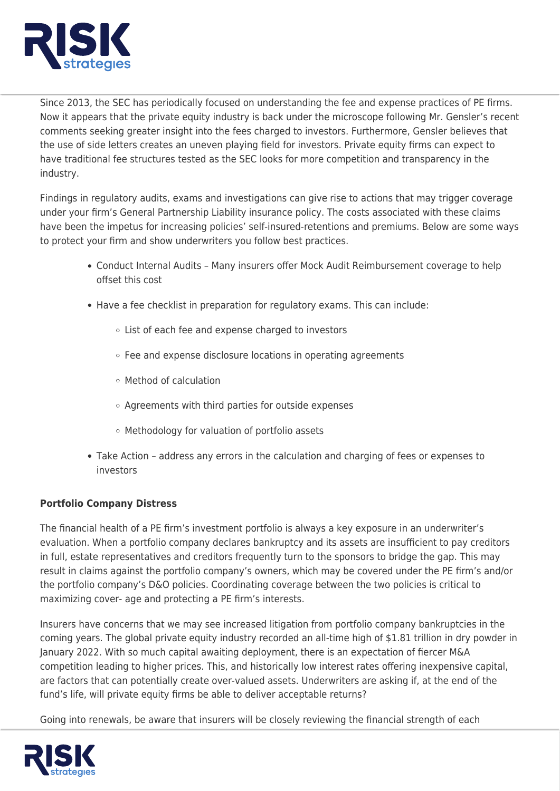

Since 2013, the SEC has periodically focused on understanding the fee and expense practices of PE firms. Now it appears that the private equity industry is back under the microscope following Mr. Gensler's recent comments seeking greater insight into the fees charged to investors. Furthermore, Gensler believes that the use of side letters creates an uneven playing field for investors. Private equity firms can expect to have traditional fee structures tested as the SEC looks for more competition and transparency in the industry.

Findings in regulatory audits, exams and investigations can give rise to actions that may trigger coverage under your firm's General Partnership Liability insurance policy. The costs associated with these claims have been the impetus for increasing policies' self-insured-retentions and premiums. Below are some ways to protect your firm and show underwriters you follow best practices.

- Conduct Internal Audits Many insurers offer Mock Audit Reimbursement coverage to help offset this cost
- Have a fee checklist in preparation for regulatory exams. This can include:
	- List of each fee and expense charged to investors
	- Fee and expense disclosure locations in operating agreements
	- Method of calculation
	- o Agreements with third parties for outside expenses
	- Methodology for valuation of portfolio assets
- Take Action address any errors in the calculation and charging of fees or expenses to investors

## **Portfolio Company Distress**

The financial health of a PE firm's investment portfolio is always a key exposure in an underwriter's evaluation. When a portfolio company declares bankruptcy and its assets are insufficient to pay creditors in full, estate representatives and creditors frequently turn to the sponsors to bridge the gap. This may result in claims against the portfolio company's owners, which may be covered under the PE firm's and/or the portfolio company's D&O policies. Coordinating coverage between the two policies is critical to maximizing cover- age and protecting a PE firm's interests.

Insurers have concerns that we may see increased litigation from portfolio company bankruptcies in the coming years. The global private equity industry recorded an all-time high of \$1.81 trillion in dry powder in January 2022. With so much capital awaiting deployment, there is an expectation of fiercer M&A competition leading to higher prices. This, and historically low interest rates offering inexpensive capital, are factors that can potentially create over-valued assets. Underwriters are asking if, at the end of the fund's life, will private equity firms be able to deliver acceptable returns?

Going into renewals, be aware that insurers will be closely reviewing the financial strength of each

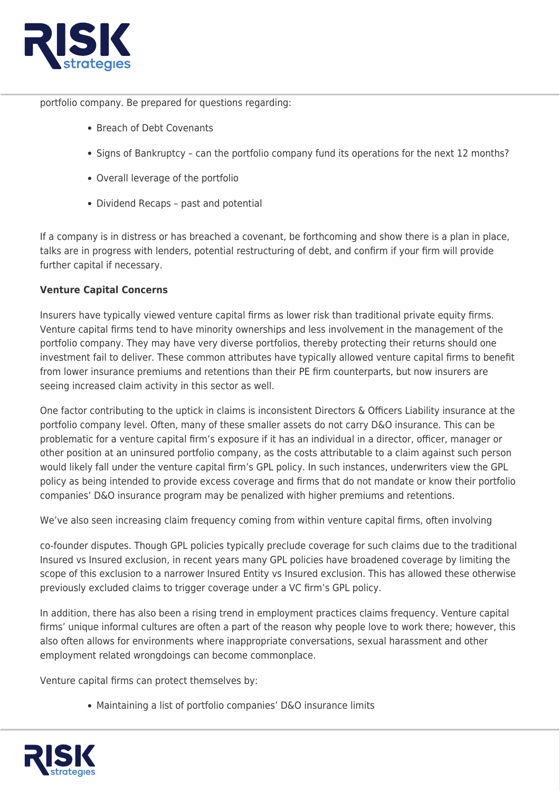

portfolio company. Be prepared for questions regarding:

- Breach of Debt Covenants
- Signs of Bankruptcy can the portfolio company fund its operations for the next 12 months?
- Overall leverage of the portfolio
- Dividend Recaps past and potential

If a company is in distress or has breached a covenant, be forthcoming and show there is a plan in place, talks are in progress with lenders, potential restructuring of debt, and confirm if your firm will provide further capital if necessary.

## **Venture Capital Concerns**

Insurers have typically viewed venture capital firms as lower risk than traditional private equity firms. Venture capital firms tend to have minority ownerships and less involvement in the management of the portfolio company. They may have very diverse portfolios, thereby protecting their returns should one investment fail to deliver. These common attributes have typically allowed venture capital firms to benefit from lower insurance premiums and retentions than their PE firm counterparts, but now insurers are seeing increased claim activity in this sector as well.

One factor contributing to the uptick in claims is inconsistent Directors & Officers Liability insurance at the portfolio company level. Often, many of these smaller assets do not carry D&O insurance. This can be problematic for a venture capital firm's exposure if it has an individual in a director, officer, manager or other position at an uninsured portfolio company, as the costs attributable to a claim against such person would likely fall under the venture capital firm's GPL policy. In such instances, underwriters view the GPL policy as being intended to provide excess coverage and firms that do not mandate or know their portfolio companies' D&O insurance program may be penalized with higher premiums and retentions.

We've also seen increasing claim frequency coming from within venture capital firms, often involving

co-founder disputes. Though GPL policies typically preclude coverage for such claims due to the traditional Insured vs Insured exclusion, in recent years many GPL policies have broadened coverage by limiting the scope of this exclusion to a narrower Insured Entity vs Insured exclusion. This has allowed these otherwise previously excluded claims to trigger coverage under a VC firm's GPL policy.

In addition, there has also been a rising trend in employment practices claims frequency. Venture capital firms' unique informal cultures are often a part of the reason why people love to work there; however, this also often allows for environments where inappropriate conversations, sexual harassment and other employment related wrongdoings can become commonplace.

Venture capital firms can protect themselves by:

Maintaining a list of portfolio companies' D&O insurance limits

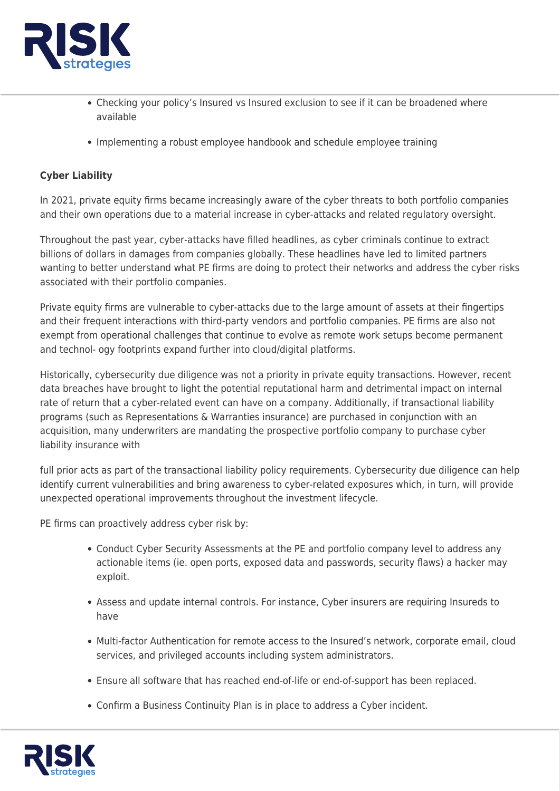

- Checking your policy's Insured vs Insured exclusion to see if it can be broadened where available
- Implementing a robust employee handbook and schedule employee training

#### **Cyber Liability**

In 2021, private equity firms became increasingly aware of the cyber threats to both portfolio companies and their own operations due to a material increase in cyber-attacks and related regulatory oversight.

Throughout the past year, cyber-attacks have filled headlines, as cyber criminals continue to extract billions of dollars in damages from companies globally. These headlines have led to limited partners wanting to better understand what PE firms are doing to protect their networks and address the cyber risks associated with their portfolio companies.

Private equity firms are vulnerable to cyber-attacks due to the large amount of assets at their fingertips and their frequent interactions with third-party vendors and portfolio companies. PE firms are also not exempt from operational challenges that continue to evolve as remote work setups become permanent and technol- ogy footprints expand further into cloud/digital platforms.

Historically, cybersecurity due diligence was not a priority in private equity transactions. However, recent data breaches have brought to light the potential reputational harm and detrimental impact on internal rate of return that a cyber-related event can have on a company. Additionally, if transactional liability programs (such as Representations & Warranties insurance) are purchased in conjunction with an acquisition, many underwriters are mandating the prospective portfolio company to purchase cyber liability insurance with

full prior acts as part of the transactional liability policy requirements. Cybersecurity due diligence can help identify current vulnerabilities and bring awareness to cyber-related exposures which, in turn, will provide unexpected operational improvements throughout the investment lifecycle.

PE firms can proactively address cyber risk by:

- Conduct Cyber Security Assessments at the PE and portfolio company level to address any actionable items (ie. open ports, exposed data and passwords, security flaws) a hacker may exploit.
- Assess and update internal controls. For instance, Cyber insurers are requiring Insureds to have
- Multi-factor Authentication for remote access to the Insured's network, corporate email, cloud services, and privileged accounts including system administrators.
- Ensure all software that has reached end-of-life or end-of-support has been replaced.
- Confirm a Business Continuity Plan is in place to address a Cyber incident.

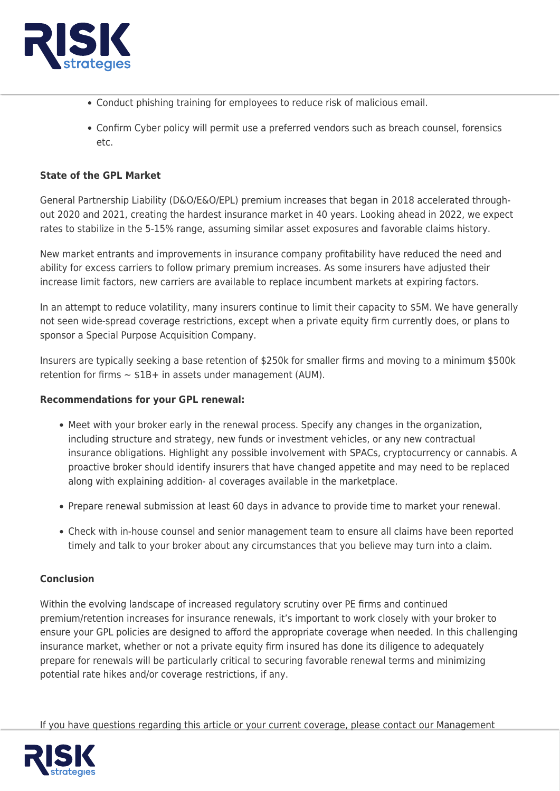

- Conduct phishing training for employees to reduce risk of malicious email.
- Confirm Cyber policy will permit use a preferred vendors such as breach counsel, forensics etc.

#### **State of the GPL Market**

General Partnership Liability (D&O/E&O/EPL) premium increases that began in 2018 accelerated throughout 2020 and 2021, creating the hardest insurance market in 40 years. Looking ahead in 2022, we expect rates to stabilize in the 5-15% range, assuming similar asset exposures and favorable claims history.

New market entrants and improvements in insurance company profitability have reduced the need and ability for excess carriers to follow primary premium increases. As some insurers have adjusted their increase limit factors, new carriers are available to replace incumbent markets at expiring factors.

In an attempt to reduce volatility, many insurers continue to limit their capacity to \$5M. We have generally not seen wide-spread coverage restrictions, except when a private equity firm currently does, or plans to sponsor a Special Purpose Acquisition Company.

Insurers are typically seeking a base retention of \$250k for smaller firms and moving to a minimum \$500k retention for firms  $\sim$  \$1B+ in assets under management (AUM).

#### **Recommendations for your GPL renewal:**

- Meet with your broker early in the renewal process. Specify any changes in the organization, including structure and strategy, new funds or investment vehicles, or any new contractual insurance obligations. Highlight any possible involvement with SPACs, cryptocurrency or cannabis. A proactive broker should identify insurers that have changed appetite and may need to be replaced along with explaining addition- al coverages available in the marketplace.
- Prepare renewal submission at least 60 days in advance to provide time to market your renewal.
- Check with in-house counsel and senior management team to ensure all claims have been reported timely and talk to your broker about any circumstances that you believe may turn into a claim.

#### **Conclusion**

Within the evolving landscape of increased regulatory scrutiny over PE firms and continued premium/retention increases for insurance renewals, it's important to work closely with your broker to ensure your GPL policies are designed to afford the appropriate coverage when needed. In this challenging insurance market, whether or not a private equity firm insured has done its diligence to adequately prepare for renewals will be particularly critical to securing favorable renewal terms and minimizing potential rate hikes and/or coverage restrictions, if any.

If you have questions regarding this article or your current coverage, please contact our Management